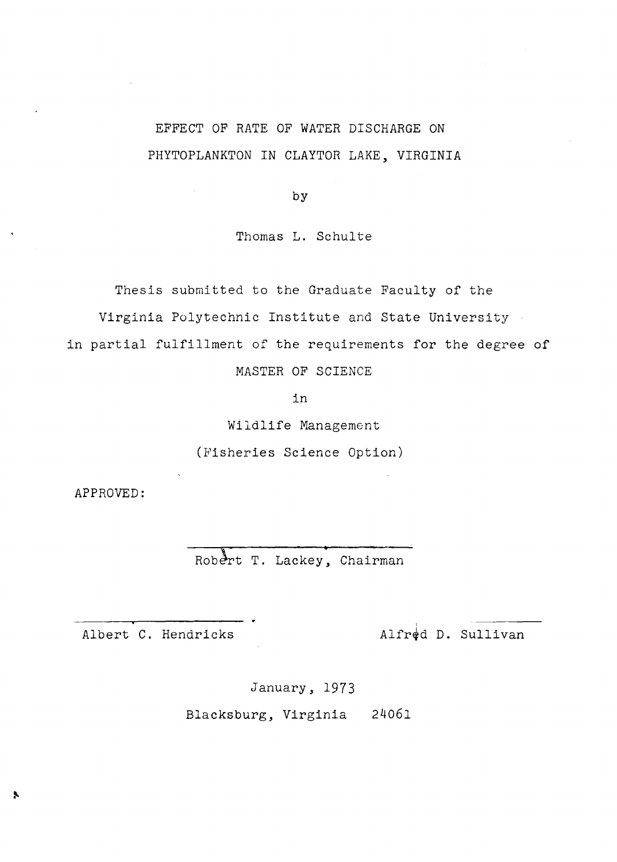# EFFECT OF RATE OF WATER DISCHARGE ON PHYTOPLANKTON IN CLAYTOR LAKE, VIRGINIA

by

Thomas L. Schulte

Thesis submitted to the Graduate Faculty of the

Virginia Polytechnic Institute and State University

in partial fulfillment of the requirements for the degree of

MASTER OF SCIENCE

in

Wildlife Management (Fisheries Science Option)

APPROVED:

Robert T. Lackey, Chairman

Albert C. Hendricks  $\qquad \qquad \text{Alfr\AA d\ D. } \text{Sultivan}$ 

January, 1973

Blacksburg, Virginia 24061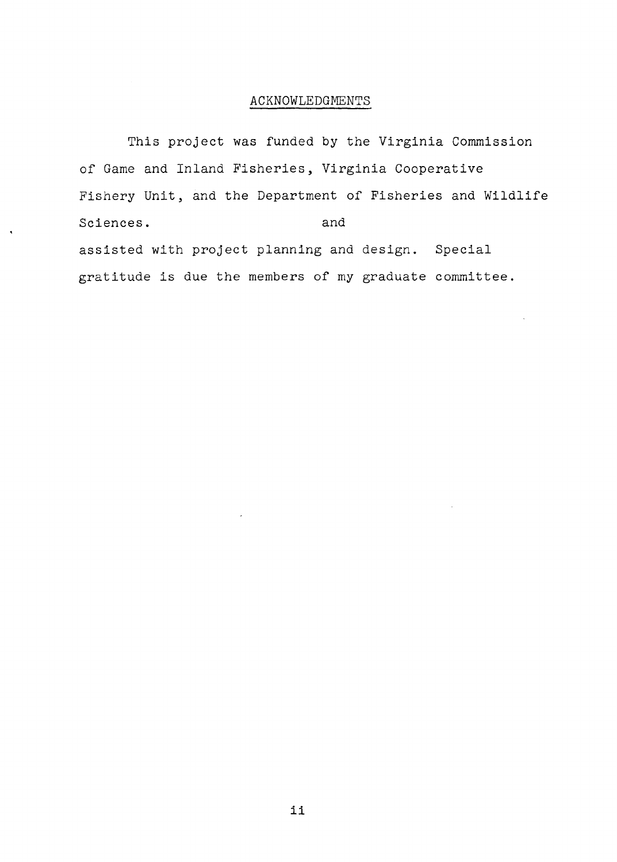## ACKNOWLEDGMENTS

This project was funded by the Virginia Commission of Game and Inland Fisheries, Virginia Cooperative Fishery Unit, and the Department of Fisheries and Wildlife Sciences. and and series and and series and series and series and series and series and series and series and series and series and series and series and series and series and series and series and series and series and se assisted with project planning and design. Special gratitude is due the members of my graduate committee.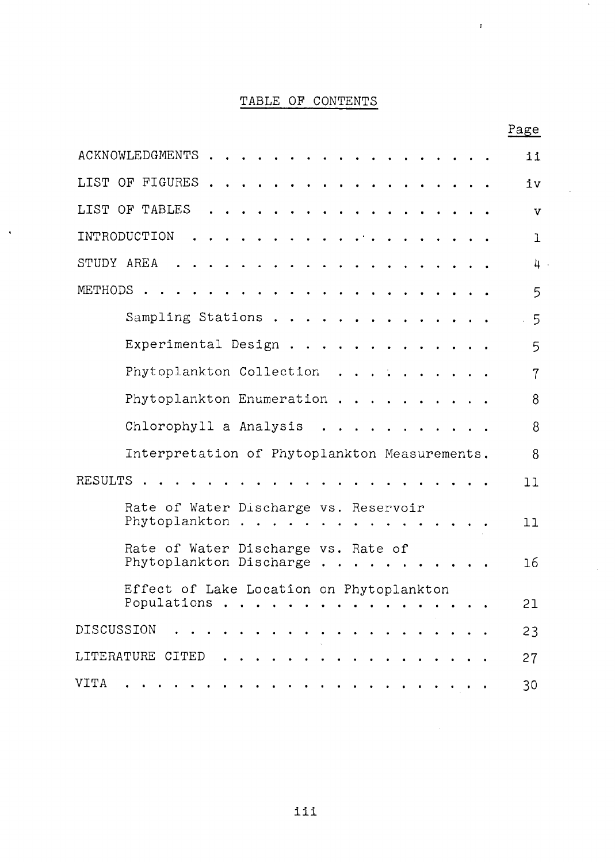## TABLE OF CONTENTS

 $\ddot{\phantom{a}}$ 

 $\cdot$ 

 $\bar{\mathbf{r}}$ 

|                        |                                                                |  |  |  |  |  |  |  |  |  |  | Page |
|------------------------|----------------------------------------------------------------|--|--|--|--|--|--|--|--|--|--|------|
| <b>ACKNOWLEDGMENTS</b> |                                                                |  |  |  |  |  |  |  |  |  |  | 11   |
| LIST OF FIGURES        |                                                                |  |  |  |  |  |  |  |  |  |  | iv   |
| LIST OF TABLES         |                                                                |  |  |  |  |  |  |  |  |  |  | v    |
| INTRODUCTION           |                                                                |  |  |  |  |  |  |  |  |  |  | ı    |
| STUDY AREA             |                                                                |  |  |  |  |  |  |  |  |  |  | 4    |
| METHODS                |                                                                |  |  |  |  |  |  |  |  |  |  | 5    |
|                        | Sampling Stations                                              |  |  |  |  |  |  |  |  |  |  | 5    |
|                        | Experimental Design.                                           |  |  |  |  |  |  |  |  |  |  | 5    |
|                        | Phytoplankton Collection                                       |  |  |  |  |  |  |  |  |  |  | 7    |
|                        | Phytoplankton Enumeration.                                     |  |  |  |  |  |  |  |  |  |  | 8    |
|                        | Chlorophyll a Analysis                                         |  |  |  |  |  |  |  |  |  |  | 8    |
|                        | Interpretation of Phytoplankton Measurements.                  |  |  |  |  |  |  |  |  |  |  | 8    |
| <b>RESULTS</b>         |                                                                |  |  |  |  |  |  |  |  |  |  | 11   |
|                        | Rate of Water Discharge vs. Reservoir<br>Phytoplankton         |  |  |  |  |  |  |  |  |  |  | 11   |
|                        | Rate of Water Discharge vs. Rate of<br>Phytoplankton Discharge |  |  |  |  |  |  |  |  |  |  | 16   |
|                        | Effect of Lake Location on Phytoplankton<br>Populations        |  |  |  |  |  |  |  |  |  |  | 21   |
| DISCUSSION             |                                                                |  |  |  |  |  |  |  |  |  |  | 23   |
| LITERATURE CITED       |                                                                |  |  |  |  |  |  |  |  |  |  | 27   |
| <b>VITA</b>            |                                                                |  |  |  |  |  |  |  |  |  |  | 30   |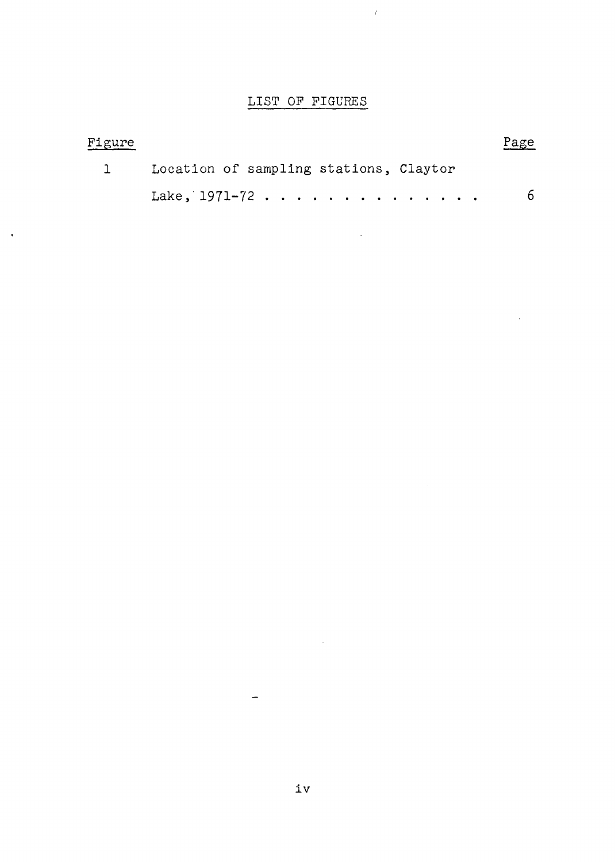## LIST OF FIGURES

 $\bar{t}$ 

| Figure |                                        | Page |
|--------|----------------------------------------|------|
|        | Location of sampling stations, Claytor |      |
|        | Lake, $1971-72$                        | 6.   |

 $\bar{z}$ 

 $\hat{\mathcal{A}}$ 

 $\bar{\mathbf{v}}$ 

 $\overline{\phantom{a}}$ 

 $\bar{\beta}$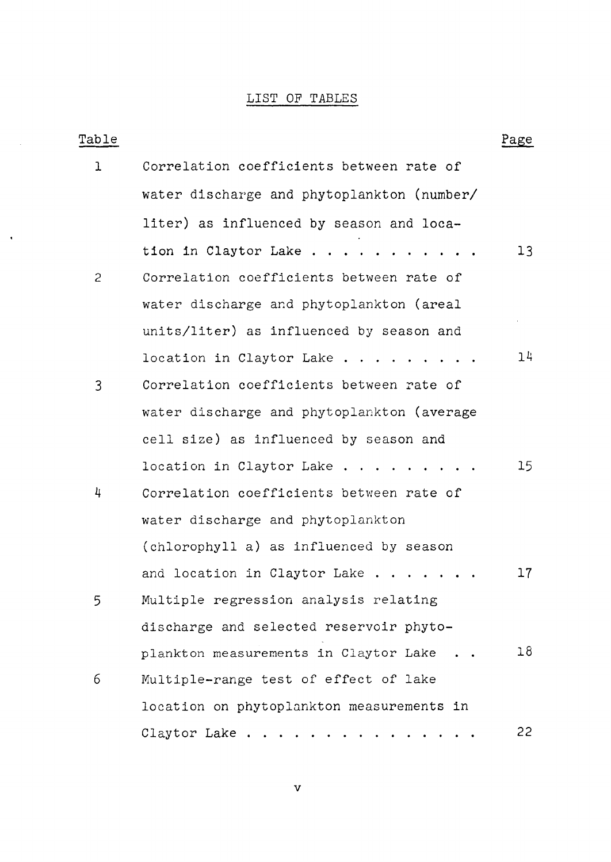## LIST OF TABLES

 $\sim 10^{-1}$ 

 $\hat{\mathbf{r}}$ 

| Table          |                                            | Page            |
|----------------|--------------------------------------------|-----------------|
| ı              | Correlation coefficients between rate of   |                 |
|                | water discharge and phytoplankton (number/ |                 |
|                | liter) as influenced by season and loca-   |                 |
|                | tion in Claytor Lake                       | 13              |
| $\overline{c}$ | Correlation coefficients between rate of   |                 |
|                | water discharge and phytoplankton (areal   |                 |
|                | units/liter) as influenced by season and   |                 |
|                | location in Claytor Lake                   | 14              |
| 3              | Correlation coefficients between rate of   |                 |
|                | water discharge and phytoplankton (average |                 |
|                | cell size) as influenced by season and     |                 |
|                | location in Claytor Lake $\ldots$ .        | 15 <sub>1</sub> |
| 4              | Correlation coefficients between rate of   |                 |
|                | water discharge and phytoplankton          |                 |
|                | (chlorophyll a) as influenced by season    |                 |
|                | and location in Claytor Lake               | 17              |
| 5              | Multiple regression analysis relating      |                 |
|                | discharge and selected reservoir phyto-    |                 |
|                | plankton measurements in Claytor Lake      | 18              |
| 6              | Multiple-range test of effect of lake      |                 |
|                | location on phytoplankton measurements in  |                 |
|                | Claytor Lake                               | 22              |

v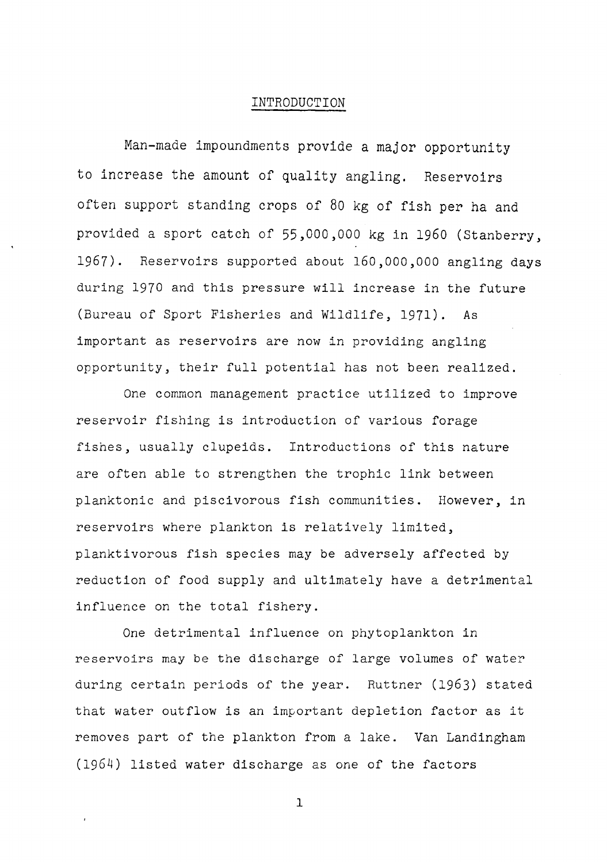#### INTRODUCTION

Man-made impoundments provide a major opportunity to increase the amount of quality angling. Reservoirs often support standing crops of 80 kg of fish per ha and provided a sport catch of 55,000,000 kg in 1960 (Stanberry, 1967). Reservoirs supported about 160,000,000 angling days during 1970 and this pressure will increase in the future (Bureau of Sport Fisheries and Wildlife, 1971). As important as reservoirs are now in providing angling opportunity, their full potential has not been realized.

One common management practice utilized to improve reservoir fishing is introduction of various forage fishes, usually clupeids. Introductions of this nature are often able to strengthen the trophic link between planktonic and piscivorous fish communities. However, in reservoirs where plankton is relatively limited, planktivorous fish species may be adversely affected by reduction of food supply and ultimately have a detrimental influence on the total fishery.

One detrimental influence on phytoplankton in reservoirs may be the discharge of large volumes of water during certain periods of the year. Ruttner (1963) stated that water outflow is an important depletion factor as it removes part of the plankton from a lake. Van Landingham (1964) listed water discharge as one of the factors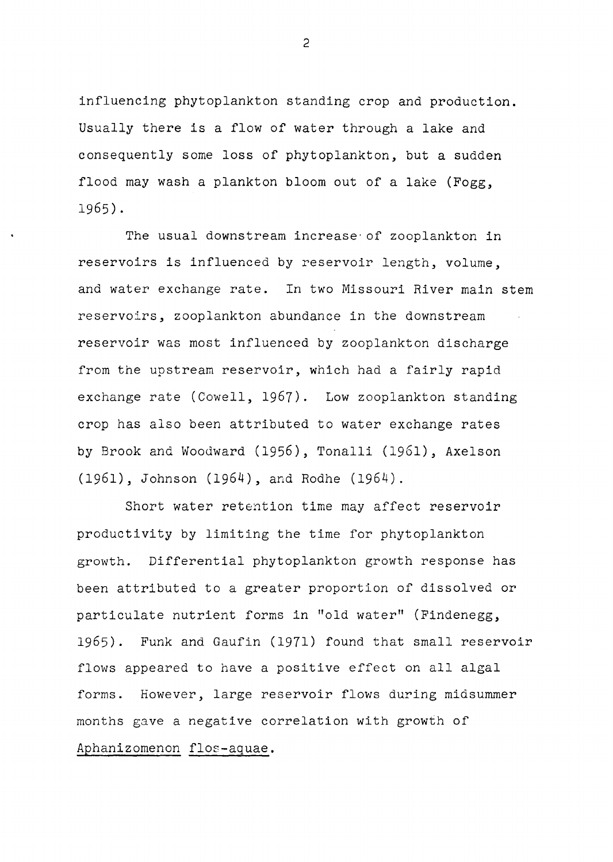influencing phytoplankton standing crop and production. Usually there is a flow of water through a lake and consequently some loss of phytoplankton, but a sudden flood may wash a plankton bloom out of a lake (Fogg, 1965).

The usual downstream increase· of zooplankton in reservoirs is influenced by reservoir length, volume, and water exchange rate. In two Missouri River main stem reservoirs, zooplankton abundance in the downstream reservoir was most influenced by zooplankton discharge from the upstream reservoir, which had a fairly rapid exchange rate (Cowell, 1967). Low zooplankton standing crop has also been attributed to water exchange rates by Brook and Woodward (1956), Tonalli (1961), Axelson (1961), Johnson (1964), and Rodhe (1964).

Short water retention time may affect reservoir productivity by limiting the time for phytoplankton growth. Differential phytoplankton growth response has been attributed to a greater proportion of dissolved or particulate nutrient forms in "old water" (Findenegg, 1965). Funk and Gaufin (1971) found that small reservoir flows appeared to have a positive effect on all algal forms. However, large reservoir flows during midsummer months gave a negative correlation with growth of Aphanizomenon flos-aquae.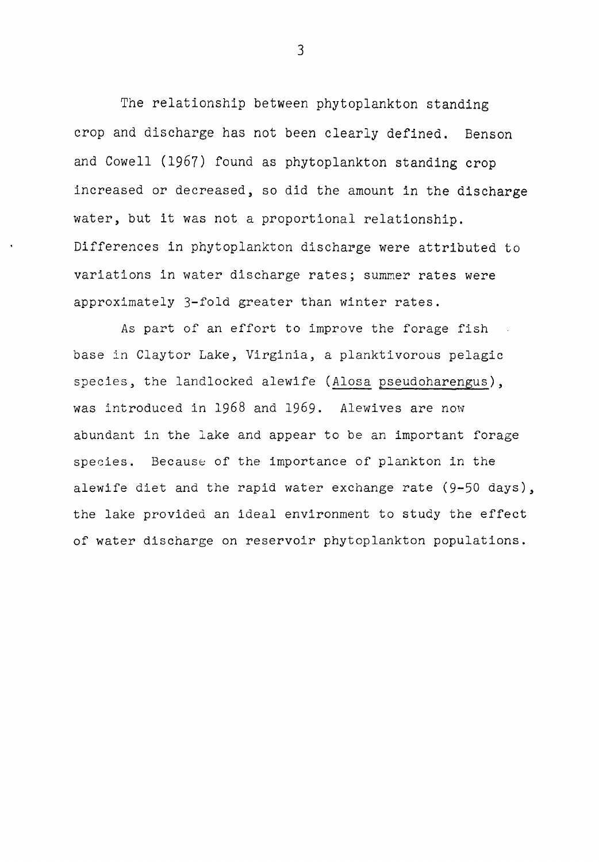The relationship between phytoplankton standing crop and discharge has not been clearly defined. Benson and Cowell (1967) found as phytoplankton standing crop increased or decreased, so did the amount in the discharge water, but it was not a proportional relationship. Differences in phytoplankton discharge were attributed to variations in water discharge rates; summer rates were approximately 3-fold greater than winter rates.

As part of an effort to improve the forage fish base in Claytor Lake, Virginia, a planktivorous pelagic species, the landlocked alewife (Alosa pseudoharengus), was introduced in 1968 and 1969. Alewives are now abundant in the lake and appear to be an important forage species. Because of the importance of plankton in the alewife diet and the rapid water exchange rate (9-50 days), the lake provided an ideal environment to study the effect of water discharge on reservoir phytoplankton populations.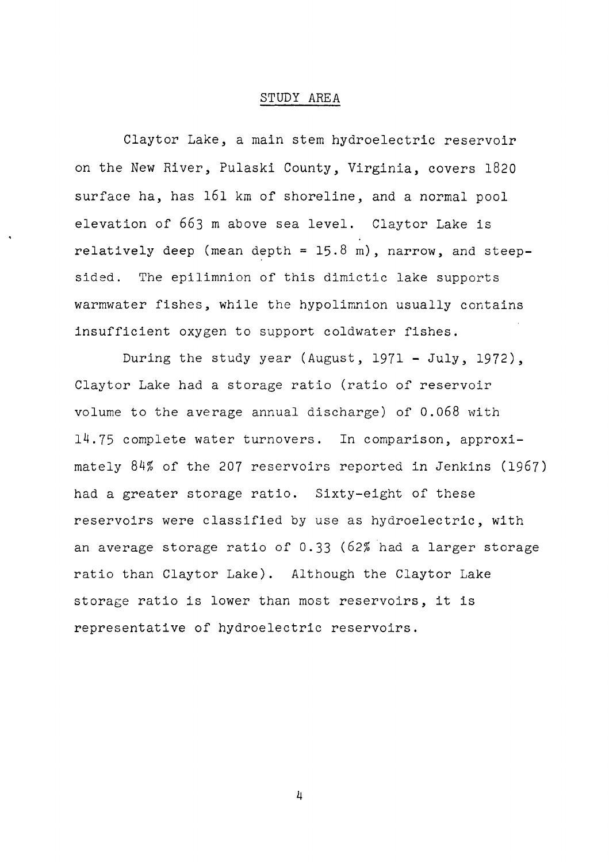#### STUDY AREA

Claytor Lake, a main stem hydroelectric reservoir on the New River, Pulaski County, Virginia, covers 1820 surface ha, has 161 km of shoreline, and a normal pool elevation of 663 m above sea level. Claytor Lake is relatively deep (mean depth =  $15.8$  m), narrow, and steepsided. The epilimnion of this dimictic lake supports warmwater fishes, while the hypolimnion usually contains insufficient oxygen to support coldwater fishes.

During the study year (August, 1971 - July, 1972), Claytor Lake had a storage ratio (ratio of reservoir volume to the average annual discharge) of 0.068 with 14.75 complete water turnovers. In comparison, approximately 84% of the 207 reservoirs reported in Jenkins (1967) had a greater storage ratio. Sixty-eight of these reservoirs were classified by use as hydroelectric, with an average storage ratio of 0.33 (62% had a larger storage ratio than Claytor Lake). Although the Claytor Lake storage ratio is lower than most reservoirs, it is representative of hydroelectric reservoirs.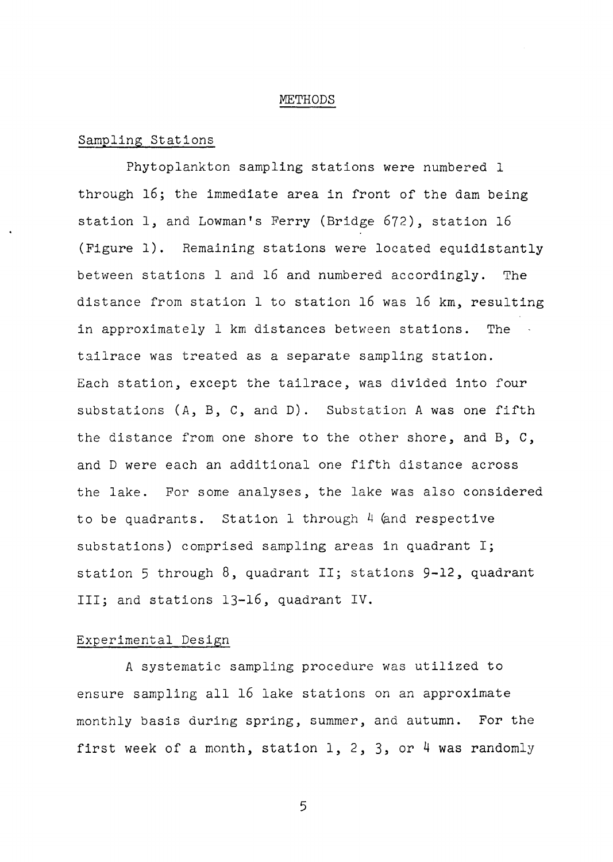#### METHODS

#### Sampling Stations

Phytoplankton sampling stations were numbered 1 through 16; the immediate area in front of the dam being station 1, and Lowman's Ferry (Bridge 672), station 16 (Figure 1). Remaining stations were located equidistantly between stations 1 and 16 and numbered accordingly. The distance from station 1 to station 16 was 16 km, resulting in approximately 1 km distances between stations. The tailrace was treated as a separate sampling station. Each station, except the tailrace, was divided into four substations (A, B, C, and D). Substation A was one fifth the distance from one shore to the other shore, and B, C, and D were each an additional one fifth distance across the lake. For some analyses, the lake was also considered to be quadrants. Station 1 through  $4$  (and respective substations) comprised sampling areas in quadrant I; station 5 through 8, quadrant II; stations 9-12, quadrant III; and stations 13-16, quadrant IV.

#### Experimental Design

A systematic sampling procedure was utilized to ensure sampling all 16 lake stations on an approximate monthly basis during spring, summer, and autumn. For the first week of a month, station  $1, 2, 3$ , or 4 was randomly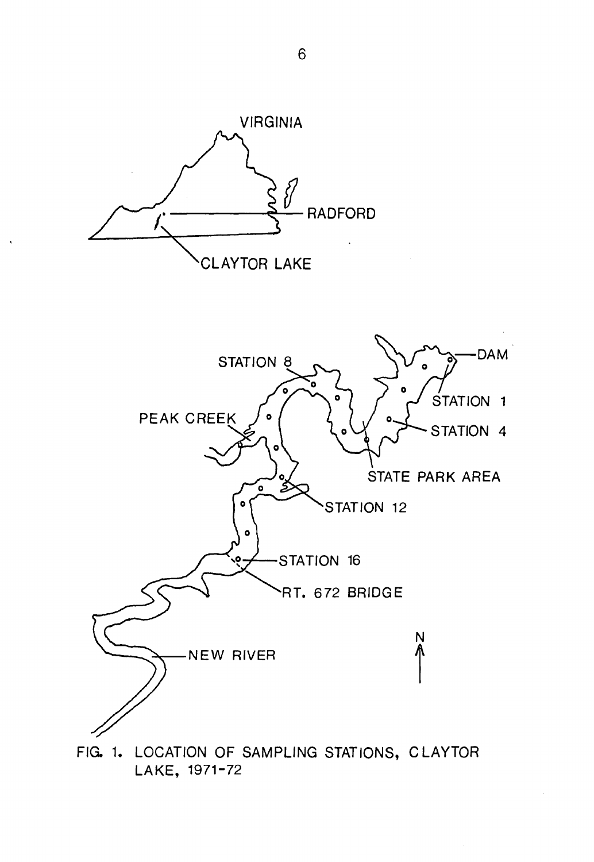

LAKE, 1971-72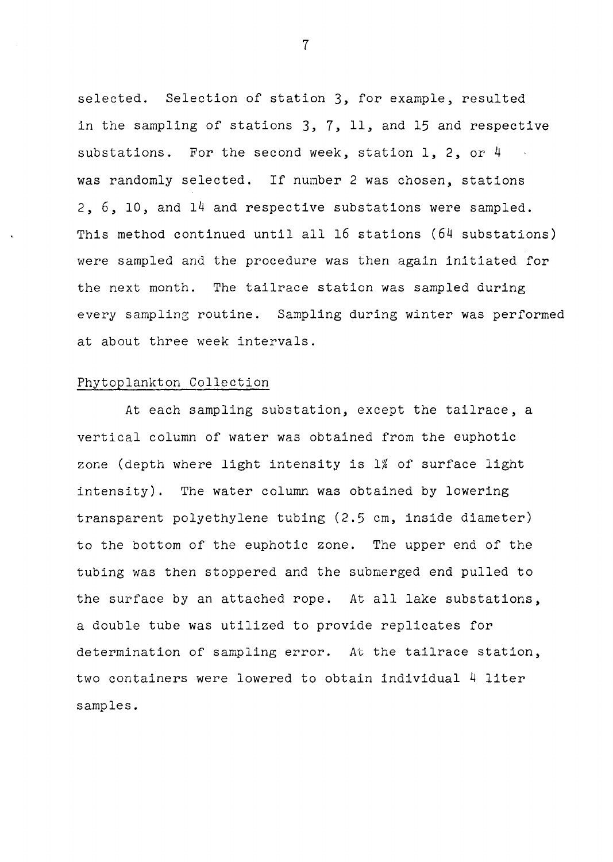selected. Selection of station 3, for example, resulted in the sampling of stations 3, 7, 11, and 15 and respective substations. For the second week, station 1, 2, or 4 was randomly selected. If number 2 was chosen, stations 2, 6, 10, and 14 and respective substations were sampled. This method continued until all 16 stations (64 substations) were sampled and the procedure was then again initiated for the next month. The tailrace station was sampled during every sampling routine. Sampling during winter was performed at about three week intervals.

#### Phytoplankton Collection

At each sampling substation, except the tailrace, a vertical column of water was obtained from the euphotic zone (depth where light intensity is 1% of surface light intensity). The water column was obtained by lowering transparent polyethylene tubing (2.5 cm, inside diameter) to the bottom of the euphotic zone. The upper end of the tubing was then stoppered and the submerged end pulled to the surface by an attached rope. At all lake substations, a double tube was utilized to provide replicates for determination of sampling error. At the tailrace station, two containers were lowered to obtain individual 4 liter samples.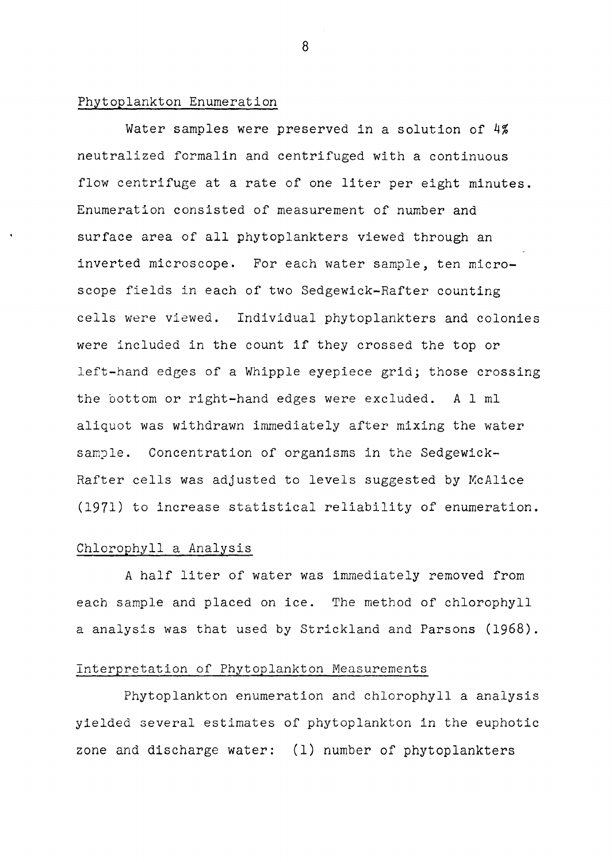#### Phytoplankton Enumeration

Water samples were preserved in a solution of 4% neutralized formalin and centrifuged with a continuous flow centrifuge at a rate of one liter per eight minutes. Enumeration consisted of measurement of number and surface area of all phytoplankters viewed through an inverted microscope. For each water sample, ten microscope fields in each of two Sedgewick-Rafter counting cells were viewed. Individual phytoplankters and colonies were included in the count if they crossed the top or left-hand edges of a Whipple eyepiece grid; those crossing the bottom or right-hand edges were excluded. A 1 ml aliquot was withdrawn immediately after mixing the water sample. Concentration of organisms in the Sedgewick-Rafter cells was adjusted to levels suggested by McAlice (1971) to increase statistical reliability of enumeration.

#### Chlorophyll a Analysis

A half liter of water was immediately removed from each sample and placed on ice. The method of chlorophyll a analysis was that used by Strickland and Parsons (1968).

#### Interpretation of Phytoplankton Measurements

Phytoplankton enumeration and chlorophyll a analysis yielded several estimates of phytoplankton in the euphotic zone and discharge water: (1) number of phytoplankters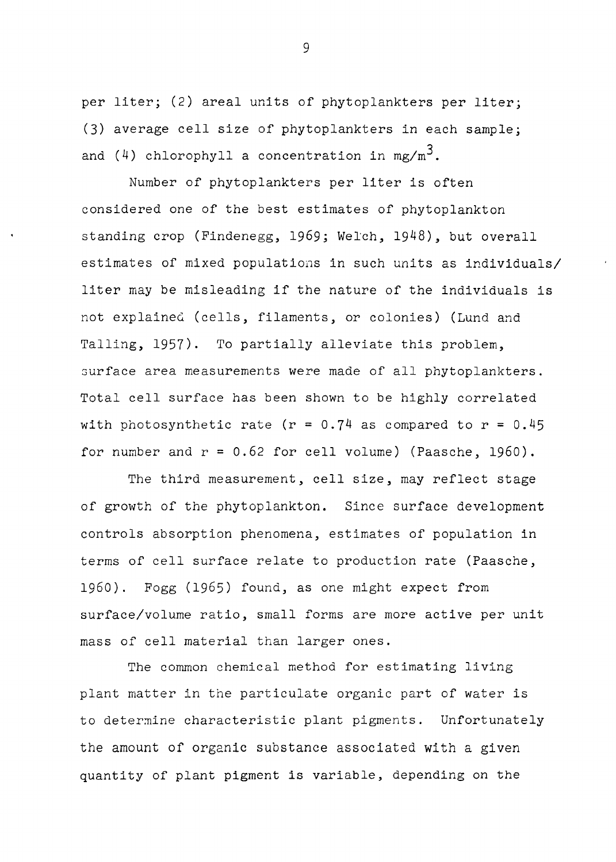per liter; (2) areal units of phytoplankters per liter; (3) average cell size of phytoplankters in each sample; and  $(4)$  chlorophyll a concentration in mg/m<sup>3</sup>.

Number of phytoplankters per liter is often considered one of the best estimates of phytoplankton standing crop (Findenegg, 1969; Welch, 1948), but overall estimates of mixed populations in such units as individuals/ liter may be misleading if the nature of the individuals is not explaineQ (cells, filaments, or colonies) (Lund and Talling, 1957). To partially alleviate this problem, surface area measurements were made of all phytoplankters. Total cell surface has been shown to be highly correlated with photosynthetic rate (r =  $0.74$  as compared to r =  $0.45$ for number and  $r = 0.62$  for cell volume) (Paasche, 1960).

The third measurement, cell size, may reflect stage of growth of the phytoplankton. Since surface development controls absorption phenomena, estimates of population in terms of cell surface relate to production rate (Paasche, 1960). Fogg (1965) found, as one might expect from surface/volume ratio, small forms are more active per unit mass of cell material than larger ones.

The common chemical method for estimating living plant matter in the particulate organic part of water is to determine characteristic plant pigments. Unfortunately the amount of organic substance associated with a given quantity of plant pigment is variable, depending on the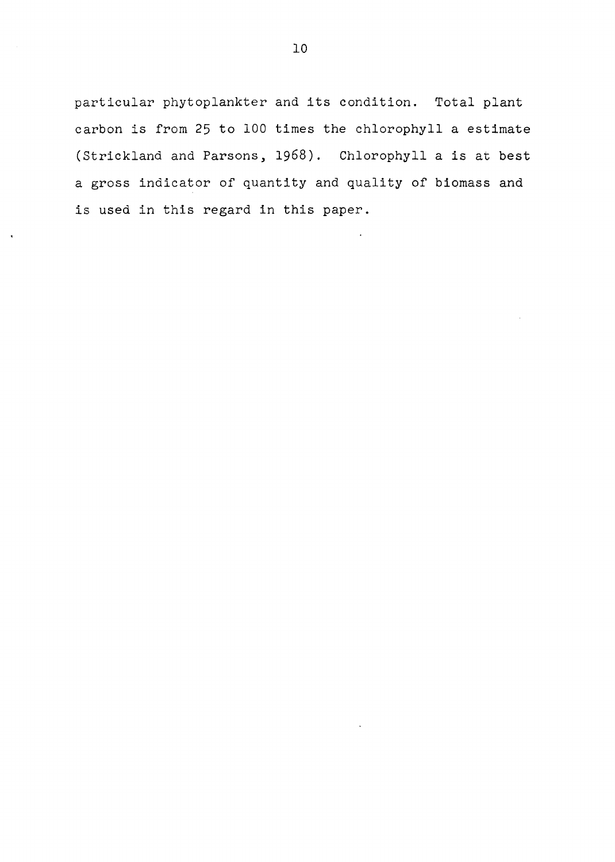particular phytoplankter and its condition. Total plant carbon is from 25 to 100 times the chlorophyll a estimate (Strickland and Parsons, 1968). Chlorophyll a is at best a gross indicator of quantity and quality of biomass and is used in this regard in this paper.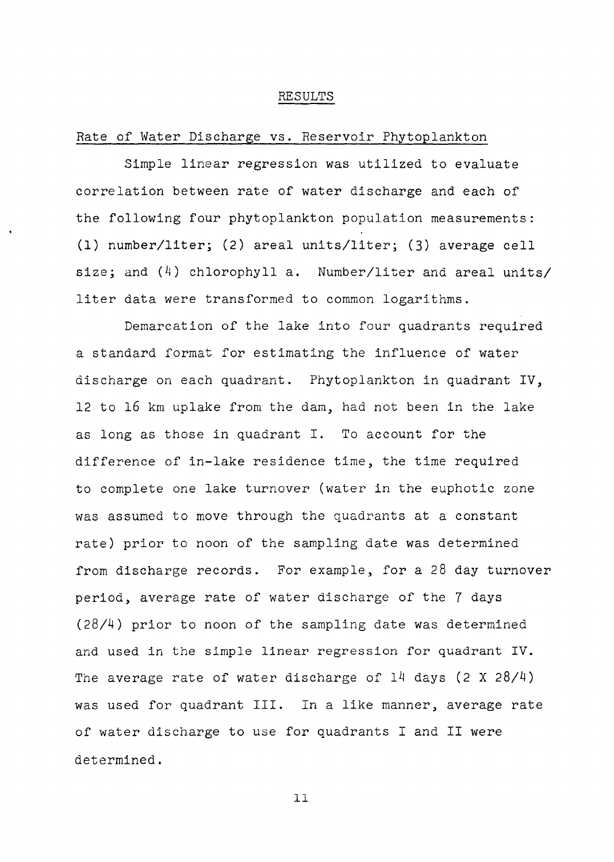#### RESULTS

#### Rate of Water Discharge vs. Reservoir Phytoplankton

Simple linear regression was utilized to evaluate correlation between rate of water discharge and each of the following four phytoplankton population measurements: **(1) number/liter;** (2) areal units/liter; (3) average cell size; and (4) chlorophyll a. Number/liter and areal units/ liter data were transformed to common logarithms.

Demarcation of the lake into four quadrants required a standard format for estimating the influence of water discharge on each quadrant. Phytoplankton in quadrant IV, 12 to 16 km uplake from the dam, had not been in the lake as long as those in quadrant I. To account for the difference of in-lake residence time, the time required to complete one lake turnover (water in the euphotic zone was assumed to move through the quadrants at a constant rate) prior to noon of the sampling date was determined from discharge records. For example, for a 28 day turnover period, average rate of water discharge of the 7 days (28/4) prior to noon of the sampling date was determined and used in the simple linear regression for quadrant IV. The average rate of water discharge of 14 days (2 X 28/4) was used for quadrant III. In a like manner, average rate of water discharge to use for quadrants I and II were determined.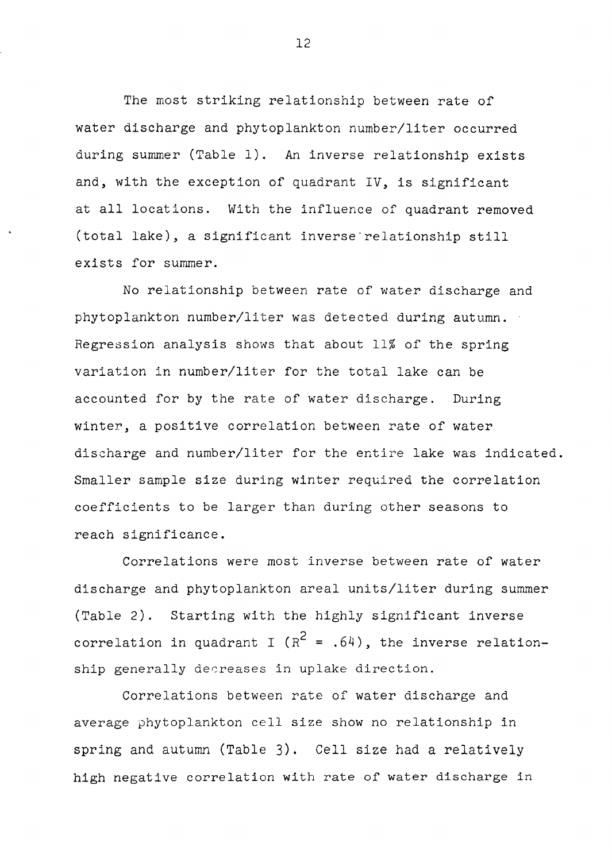The most striking relationship between rate of water discharge and phytoplankton number/liter occurred during summer (Table 1). An inverse relationship exists and, with the exception of quadrant IV, is significant at all locations. With the influence of quadrant removed (total lake), a significant inverse·relationship still exists for summer.

No relationship between rate of water discharge and phytoplankton number/liter was detected during autumn. Regression analysis shows that about 11% of the spring variation in number/liter for the total lake can be accounted for by the rate of water discharge. During winter, a positive correlation between rate of water discharge and number/liter for the entire lake was indicated. Smaller sample size during winter required the correlation coefficients to be larger than during other seasons to reach significance.

Correlations were most inverse between rate of water discharge and phytoplankton areal units/liter during summer (Table 2). Starting with the highly significant inverse correlation in quadrant I ( $R^2 = .64$ ), the inverse relationship generally decreases in uplake direction.

Correlations between rate of water discharge and average phytoplankton cell size show no relationship in spring and autumn (Table 3). Cell size had a relatively high negative correlation with rate of water discharge in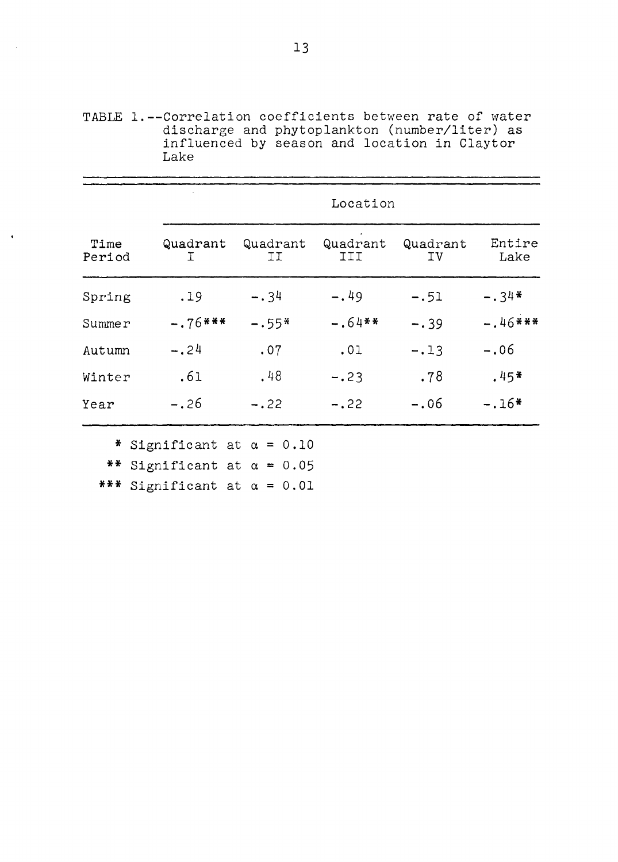TABLE 1.--Correlation coefficients between rate of water discharge and phytoplankton (number/liter) as influenced by season and location in Claytor Lake

|                |               |                | Location        |                |                |
|----------------|---------------|----------------|-----------------|----------------|----------------|
| Time<br>Period | Quadrant<br>Τ | Quadrant<br>ΙI | Quadrant<br>III | Quadrant<br>ΙV | Entire<br>Lake |
| Spring         | .19           | $-.34$         | $-.49$          | $-.51$         | $-.34*$        |
| Summer         | $-.76***$     | $-.55*$        | $-.64$ **       | $-.39$         | $-.46***$      |
| Autumn         | $-.24$        | .07            | .01             | $-.13$         | $-.06$         |
| Winter         | .61           | .48            | $-.23$          | .78            | $.45*$         |
| Year           | $-.26$        | $-.22$         | $-.22$          | $-.06$         | $-.16*$        |

\*\* Significant at  $\alpha = 0.05$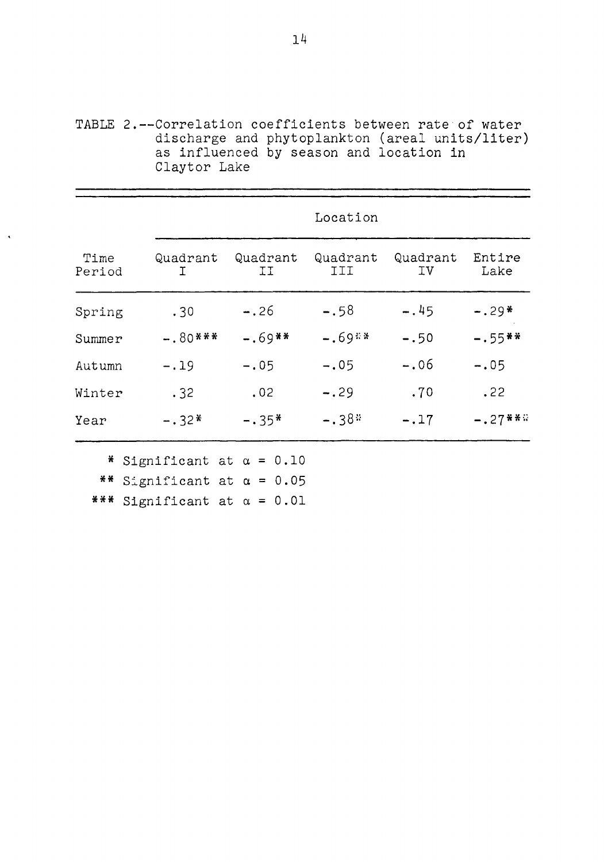TABLE 2.--Correlation coefficients between rate of water discharge and phytoplankton (areal units/liter) as influenced by season and location in Claytor Lake

|                |               |                 | Location        |                |                |
|----------------|---------------|-----------------|-----------------|----------------|----------------|
| Time<br>Period | Quadrant<br>T | Quadrant<br>ΙI. | Quadrant<br>III | Quadrant<br>ΙV | Entire<br>Lake |
| Spring         | .30           | $-.26$          | $-.58$          | $-.45$         | $-.29*$        |
| Summer         | $-.80***$     | $-.69$ **       | $-.69**$        | $-.50$         | $-.55$ **      |
| Autumn         | $-.19$        | $-.05$          | $-.05$          | $-.06$         | $-.05$         |
| Winter         | .32           | .02             | $-.29$          | .70            | .22            |
| Year           | $-.32*$       | $-.35*$         | $-.38*$         | $-.17$         | $-.27$ ***     |

\*\* Significant at  $\alpha = 0.05$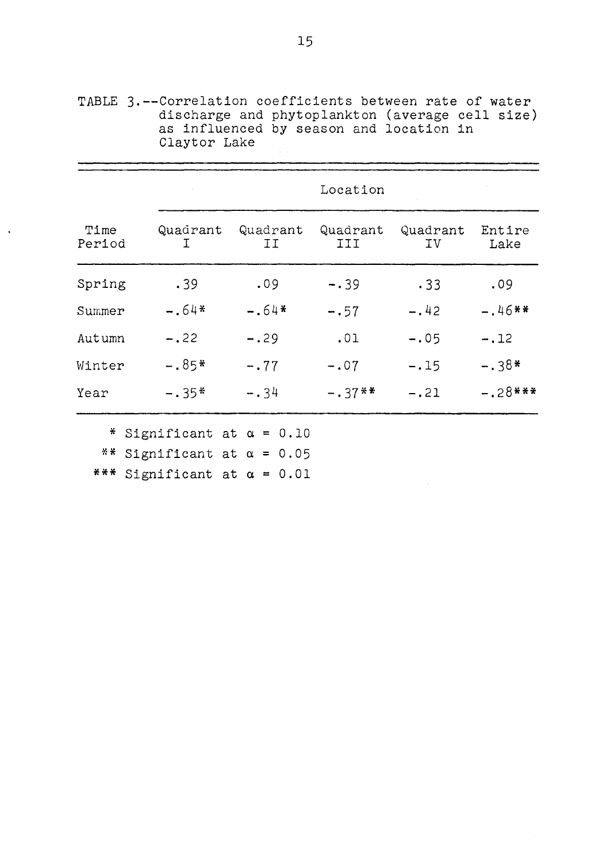|                |                |                | Location        |                |                |
|----------------|----------------|----------------|-----------------|----------------|----------------|
| Time<br>Period | Quadrant<br>I. | Quadrant<br>ΙI | Quadrant<br>III | Quadrant<br>ΙV | Entire<br>Lake |
| Spring         | .39            | .09            | $-0.39$         | .33            | .09            |
| Summer         | $-.64*$        | $-.64*$        | $-.57$          | $-.42$         | $-.46**$       |
| Autumn         | $-.22$         | $-.29$         | .01             | $-.05$         | $-.12$         |
| Winter         | $-.85*$        | $-.77$         | $-.07$          | $-.15$         | $-.38*$        |
| Year           | $-.35*$        | $-.34$         | $-.37**$        | $-.21$         | $-.28$ ***     |

TABLE 3.--Correlation coefficients between rate of water discharge and phytoplankton (average cell size) as influenced by season and location in Claytor Lake

\*\* Significant at  $\alpha = 0.05$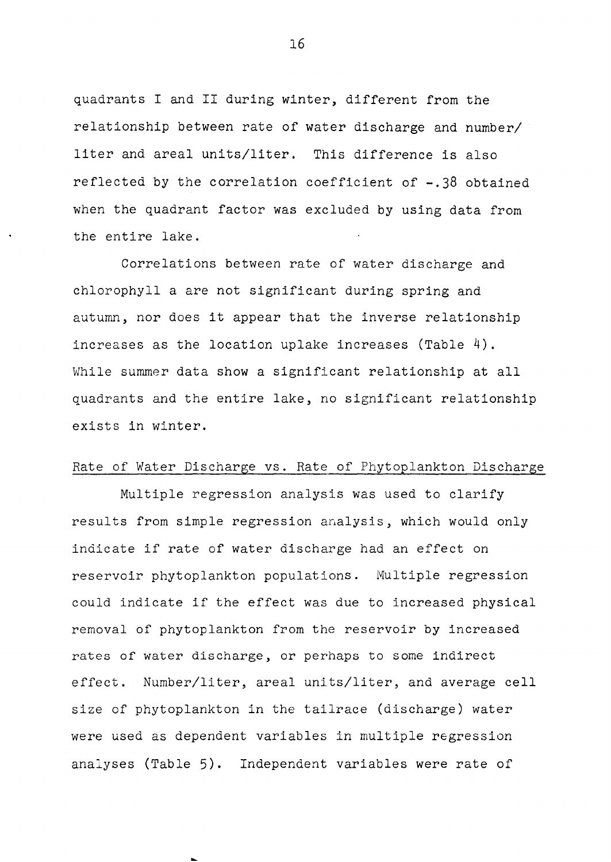quadrants I and II during winter, different from the relationship between rate of water discharge and number/ liter and areal units/liter. This difference is also reflected by the correlation coefficient of -.38 obtained when the quadrant factor was excluded by using data from the entire lake.

Correlations between rate of water discharge and chlorophyll a are not significant during spring and autumn, nor does it appear that the inverse relationship increases as the location uplake increases (Table 4). While summer data show a significant relationship at all quadrants and the entire lake, no significant relationship exists in winter.

#### Rate of Water Discharge vs. Rate of Phytoplankton Discharge

Multiple regression analysis was used to clarify results from simple regression analysis, which would only indicate if rate of water discharge had an effect on reservoir phytoplankton populations. Multiple regression could indicate if the effect was due to increased physical removal of phytoplankton from the reservoir by increased rates *or* water discharge, or perhaps to some indirect effect. Number/liter, areal units/liter, and average cell size of phytoplankton in the tailrace (discharge) water were used as dependent variables in multiple regression analyses (Table 5). Independent variables were rate of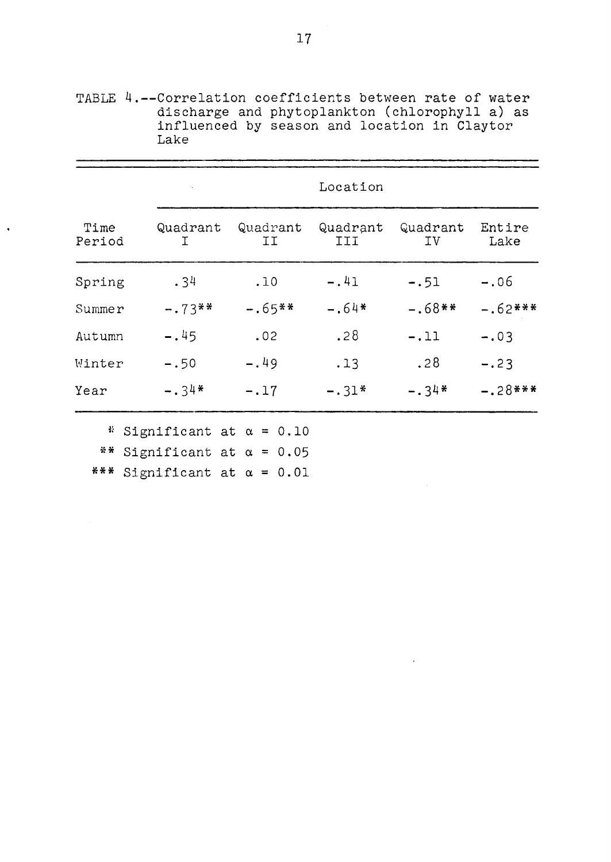|                |               |                | Location        |                |                |
|----------------|---------------|----------------|-----------------|----------------|----------------|
| Time<br>Period | Quadrant<br>T | Quadrant<br>ΙI | Quadrant<br>III | Quadrant<br>ΙV | Entire<br>Lake |
| Spring         | .34           | .10            | $-.41$          | $-.51$         | $-.06$         |
| Summer         | $-.73**$      | $-.65$ **      | $-.64*$         | $-.68**$       | $-.62***$      |
| Autumn         | $-.45$        | .02            | .28             | $-.11$         | $-.03$         |
| Winter         | $-.50$        | $-.49$         | .13             | .28            | $-.23$         |
| Year           | $-.34*$       | $-.17$         | $-.31*$         | $-.34*$        | $-.28***$      |
|                |               |                |                 |                |                |

TABLE 4.--Correlation coefficients between rate of water discharge and phytoplankton (chlorophyll a) as influenced by season and location in Claytor Lake

 $\ddot{\phantom{a}}$ 

\*\* Significant at  $\alpha = 0.05$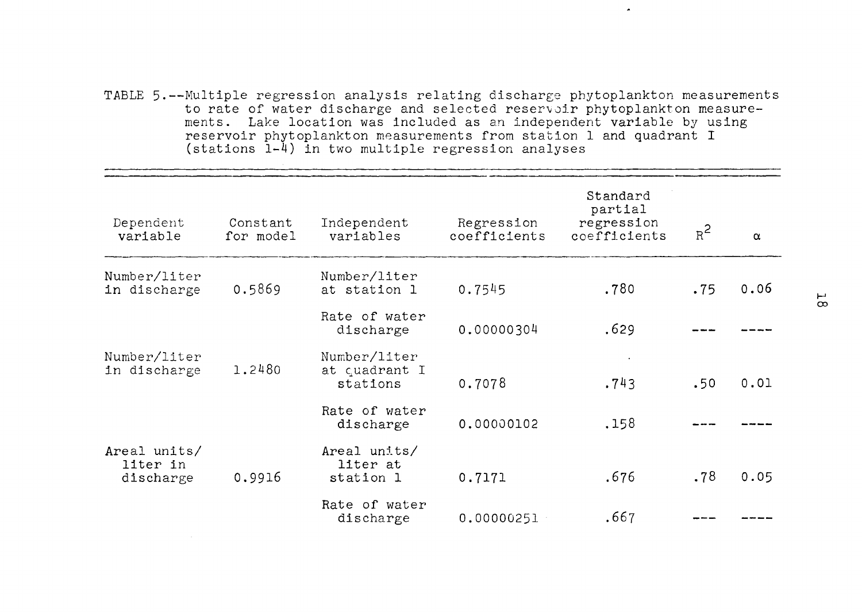TABLE 5.--Multiple regression analysis relating discharge phytoplankton measurements to rate of water discharge and selected reservoir phytoplankton measurements. Lake location was included as an independent variable by using reservoir phytoplankton measurements from station 1 and quadrant I (stations 1-4) in two multiple regression analyses

 $\overline{a}$ 

| Dependent<br>variable                 | Constant<br>for model | Independent<br>variables                  | Regression<br>coefficients | Standard<br>partial<br>regression<br>coefficients | $R^2$ | $\alpha$ |
|---------------------------------------|-----------------------|-------------------------------------------|----------------------------|---------------------------------------------------|-------|----------|
| Number/liter<br>in discharge          | 0.5869                | Number/liter<br>at station 1              | 0.7545                     | .780                                              | .75   | 0.06     |
|                                       |                       | Rate of water<br>discharge                | 0.00000304                 | .629                                              |       |          |
| Number/liter<br>in discharge          | 1.2480                | Number/liter<br>at quadrant I<br>stations | 0.7078                     | .743                                              | .50   | 0.01     |
|                                       |                       | Rate of water<br>discharge                | 0.00000102                 | .158                                              |       |          |
| Areal units/<br>liter in<br>discharge | 0.9916                | Areal units/<br>liter at<br>station 1     | 0.7171                     | .676                                              | .78   | 0.05     |
|                                       |                       | Rate of water<br>discharge                | 0.00000251                 | .667                                              |       |          |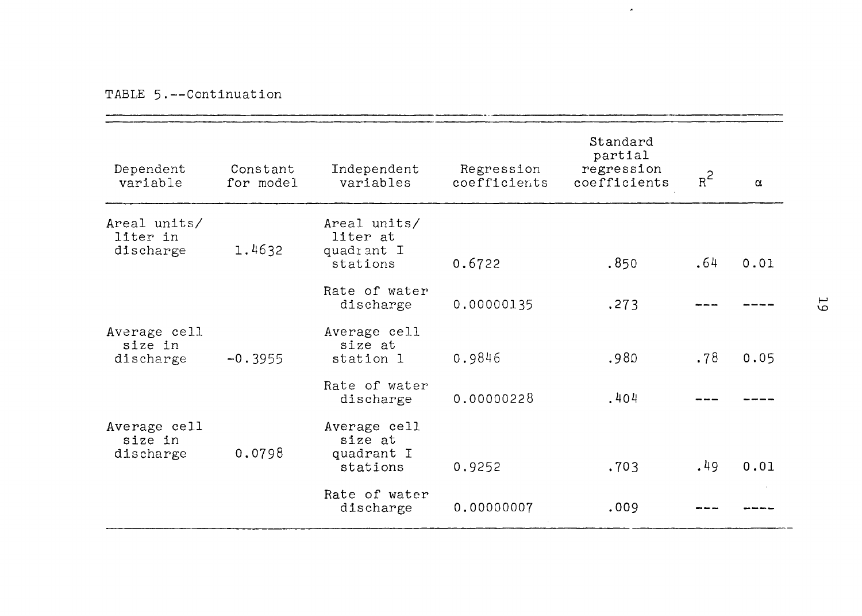|  |  | TABLE 5.--Continuation |
|--|--|------------------------|
|--|--|------------------------|

| Dependent<br>variable                 | Constant<br>for model | Independent<br>variables                           | Regression<br>coefficients | Standard<br>partial<br>regression<br>coefficients | $R^2$ | $\alpha$ |    |
|---------------------------------------|-----------------------|----------------------------------------------------|----------------------------|---------------------------------------------------|-------|----------|----|
| Areal units/<br>liter in<br>discharge | 1.4632                | Areal units/<br>liter at<br>quadrant I<br>stations | 0.6722                     | .850                                              | .64   | 0.01     |    |
|                                       |                       | Rate of water<br>discharge                         | 0.00000135                 | .273                                              |       |          | 55 |
| Average cell<br>size in<br>discharge  | $-0.3955$             | Average cell<br>size at<br>station 1               | 0.9846                     | .980                                              | .78   | 0.05     |    |
|                                       |                       | Rate of water<br>discharge                         | 0.00000228                 | .404                                              |       |          |    |
| Average cell<br>size in<br>discharge  | 0.0798                | Average cell<br>size at<br>quadrant I<br>stations  | 0.9252                     | .703                                              | .49   | 0.01     |    |
|                                       |                       | Rate of water<br>discharge                         | 0.00000007                 | .009                                              |       |          |    |

 $\blacktriangle$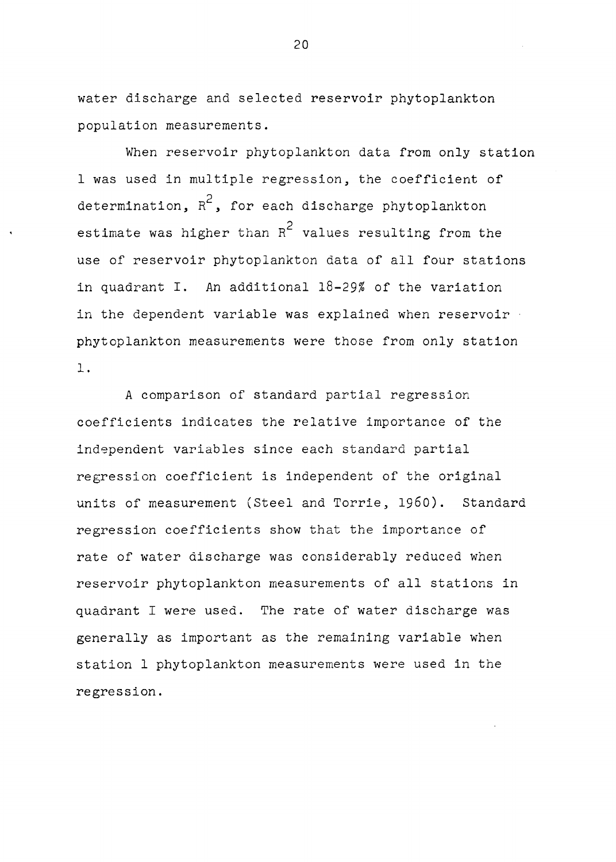water discharge and selected reservoir phytoplankton population measurements.

When reservoir phytoplankton data from only station 1 was used in multiple regression, the coefficient of determination,  $R^2$ , for each discharge phytoplankton estimate was higher than  $R^2$  values resulting from the use of reservoir phytoplankton data of all four stations in quadrant I. An additional 18-29% of the variation in the dependent variable was explained when reservoir phytoplankton measurements were those from only station 1 .

A comparison of standard partial regression coefficients indicates the relative importance of the independent variables since each standard partial regression coefficient is independent of the original units of measurement (Steel and Torrie, 1960). Standard regression coefficients show that the importance of rate of water discharge was considerably reduced when reservoir phytoplankton measurements of all stations in quadrant I were used. The rate of water discharge was generally as important as the remaining variable when station 1 phytoplankton measurements were used in the regression.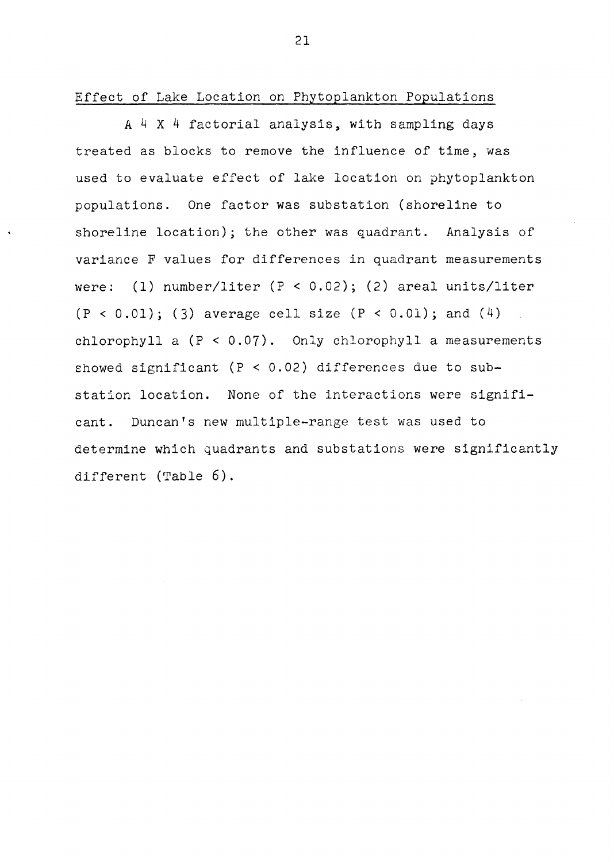Effect of Lake Location on Phytoplankton Populations

A 4 X 4 factorial analysis, with sampling days treated as blocks to remove the influence of time, was used to evaluate effect of lake location on phytoplankton populations. One factor was substation (shoreline to shoreline location); the other was quadrant. Analysis of variance F values for differences in quadrant measurements were: (1) number/liter (P < 0.02); (2) areal units/liter  $(P < 0.01)$ ; (3) average cell size  $(P < 0.01)$ ; and  $(4)$ chlorophyll a  $(P < 0.07)$ . Only chlorophyll a measurements showed significant ( $P < 0.02$ ) differences due to substation location. None of the interactions were significant. Duncan's new multiple-range test was used to determine which quadrants and substations were significantly different (Table 6).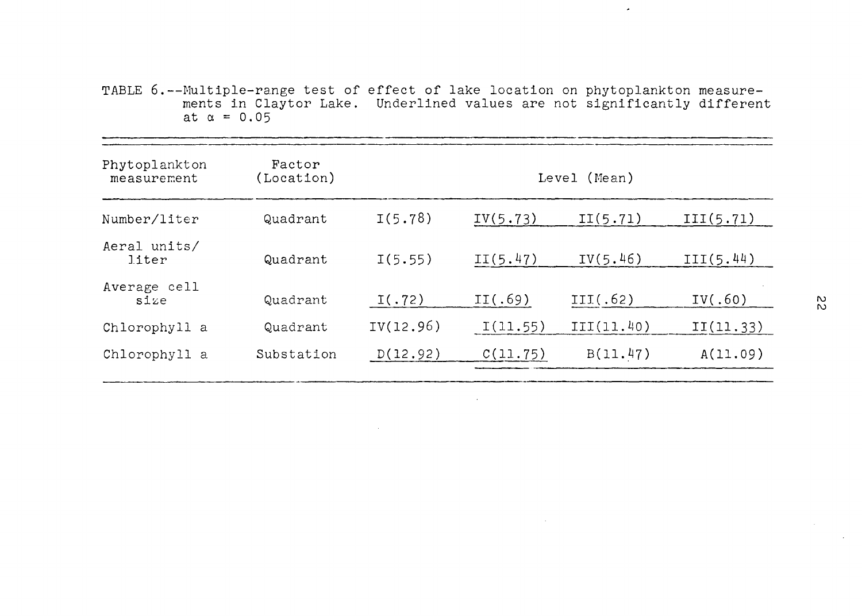TABLE 6.--Multiple-range test of effect of lake location on phytoplankton measurements in Claytor Lake. Underlined values are not significantly different at  $\alpha = 0.05$ 

 $\bullet$ 

| Phytoplankton<br>measurement | Factor<br>(Location) |           |          | Level (Mean) |           |
|------------------------------|----------------------|-----------|----------|--------------|-----------|
| Number/liter                 | Quadrant             | I(5.78)   | IV(5.73) | II(5.71)     | III(5.71) |
| Aeral units/<br>liter        | Quadrant             | I(5.55)   | II(5.47) | IV(5.46)     | III(5.44) |
| Average cell<br>size         | Quadrant             | I(.72)    | II(.69)  | III(.62)     | IV(.60)   |
| Chlorophyll a                | Quadrant             | IV(12.96) | I(11.55) | III(11.40)   | II(11.33) |
| Chlorophyll a                | Substation           | D(12.92)  | C(11.75) | B(11.47)     | A(11.09)  |
|                              |                      |           |          |              |           |

 $\sim$  10  $\pm$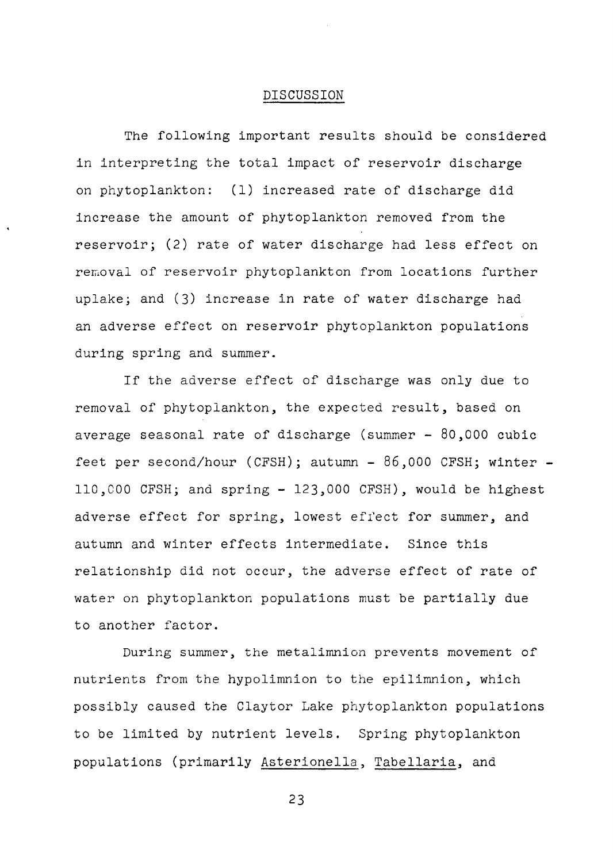#### DISCUSSION

The following important results should be considered in interpreting the total impact of reservoir discharge on phytoplankton: (1) increased rate of discharge did increase the amount of phytoplankton removed from the reservoir; (2) rate of water discharge had less effect on removal of reservoir phytoplankton from locations further uplake; and (3) increase in rate of water discharge had an adverse effect on reservoir phytoplankton populations during spring and summer.

If the adverse effect of discharge was only due to removal of phytoplankton, the expected result, based on average seasonal rate of discharge (summer - 80,000 cubic feet per second/hour (CFSH); autumn -  $86,000$  CFSH; winter -110,COO CFSH; and spring - 123,000 CFSH), would be highest adverse effect for spring, lowest effect for summer, and autumn and winter effects intermediate. Since this relationship did not occur, the adverse effect of rate of water on phytoplankton populations must be partially due to another factor.

During summer, the metalimnion prevents movement of nutrients from the hypolimnion to the epilimnion, which possibly caused the Claytor Lake phytoplankton populations to be limited by nutrient levels. Spring phytoplankton populations (primarily Asterionella, Tabellaria, and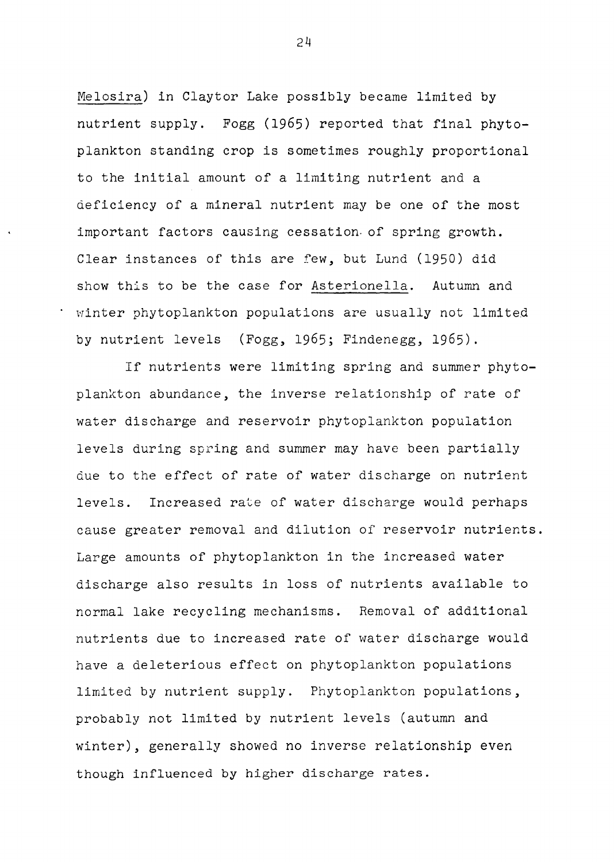Melosira) in Claytor Lake possibly became limited by nutrient supply. Fogg (1965) reported that final phytoplankton standing crop is sometimes roughly proportional to the initial amount of a limiting nutrient and a deficiency of a mineral nutrient may be one of the most important factors causing cessation. of spring growth. Clear instances of this are few, but Lund (1950) did show this to be the case for Asterionella. Autumn and winter phytoplankton populations are usually not limited by nutrient levels (Fogg, 1965; Findenegg, 1965).

If nutrients were limiting spring and summer phytoplankton abundance, the inverse relationship of rate of water discharge and reservoir phytoplankton population levels during spring and summer may have been partially due to the effect of rate of water discharge on nutrient levels. Increased rate of water discharge would perhaps cause greater removal and dilution of reservoir nutrients. Large amounts of phytoplankton in the increased water discharge also results in loss of nutrients available to normal lake recycling mechanisms. Removal of additional nutrients due to increased rate of water discharge would have a deleterious effect on phytoplankton populations limited by nutrient supply. Phytoplankton populations, probably not limited by nutrient levels (autumn and winter), generally showed no inverse relationship even though influenced by higher discharge rates.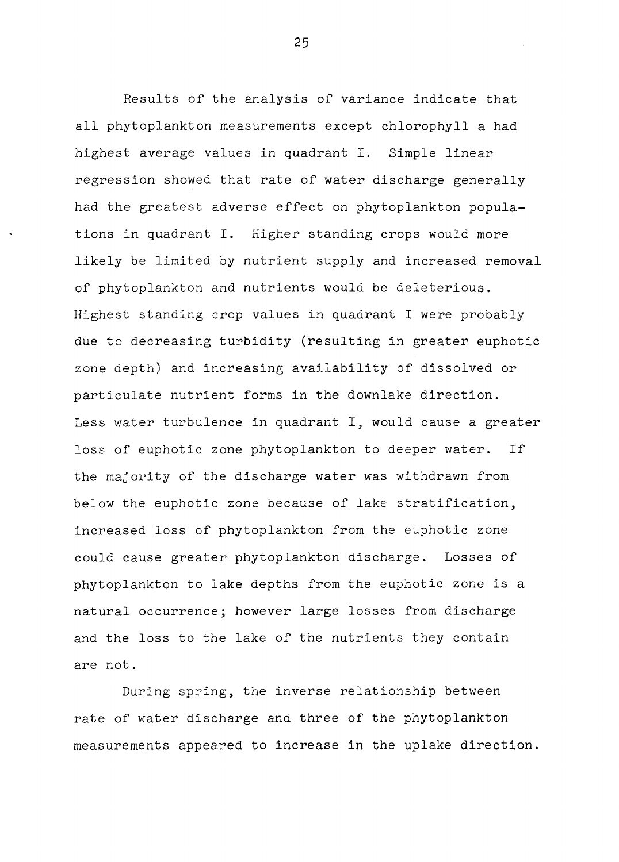Results of the analysis of variance indicate that all phytoplankton measurements except chlorophyll a had highest average values in quadrant I. Simple linear regression showed that rate of water discharge generally had the greatest adverse effect on phytoplankton populations in quadrant I. Higher standing crops would more likely be limited by nutrient supply and increased removal of phytoplankton and nutrients would be deleterious. Highest standing crop values in quadrant I were probably due to decreasing turbidity (resulting in greater euphotic zone depth) and increasing availability of dissolved or particulate nutrient forms in the downlake direction. Less water turbulence in quadrant I, would cause a greater loss of euphotic zone phytoplankton to deeper water. If the majority of the discharge water was withdrawn from below the euphotic zone because of lake stratification, increased loss of phytoplankton from the euphotic zone could cause greater phytoplankton discharge. Losses of phytoplankton to lake depths from the euphotic zone is a natural occurrence; however large losses from discharge and the loss to the lake of the nutrients they contain are not.

During spring, the inverse relationship between rate of water discharge and three of the phytoplankton measurements appeared to increase in the uplake direction.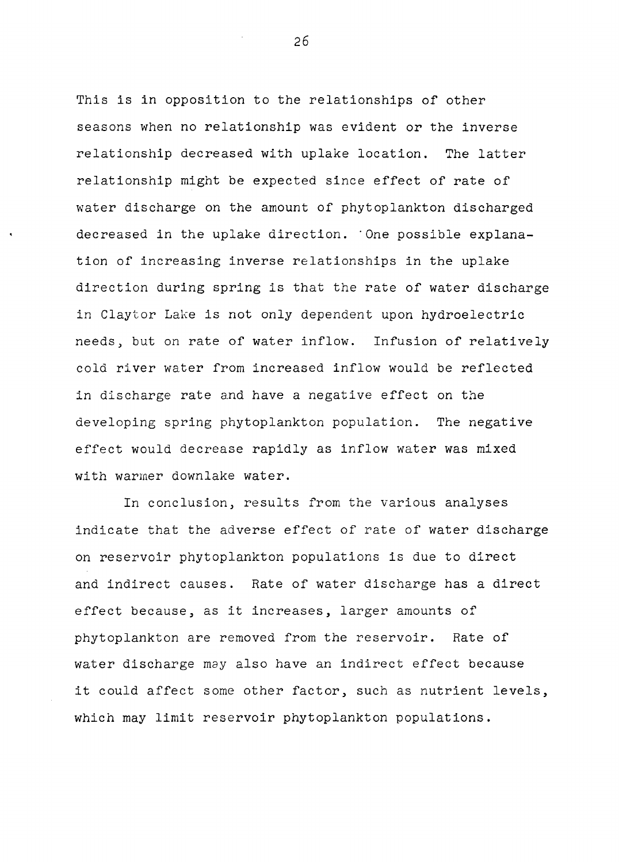This is in opposition to the relationships of other seasons when no relationship was evident or the inverse relationship decreased with uplake location. The latter relationship might be expected since effect of rate of water discharge on the amount of phytoplankton discharged decreased in the uplake direction. One possible explanation of increasing inverse relationships in the uplake direction during spring is that the rate of water discharge in Claytor Lake is not only dependent upon hydroelectric needs, but on rate of water inflow. Infusion of relatively cold river water from increased inflow would be reflected in discharge rate and have a negative effect on the developing spring phytoplankton population. The negative effect would decrease rapidly as inflow water was mixed with warmer downlake water.

In conclusion, results from the various analyses indicate that the adverse effect of rate of water discharge on reservoir phytoplankton populations is due to direct and indirect causes. Rate of water discharge has a direct effect because, as it increases, larger amounts of phytoplankton are removed from the reservoir. Rate of water discharge may also have an indirect effect because *it* could affect some other factor, such as nutrient levels, which may limit reservoir phytoplankton populations.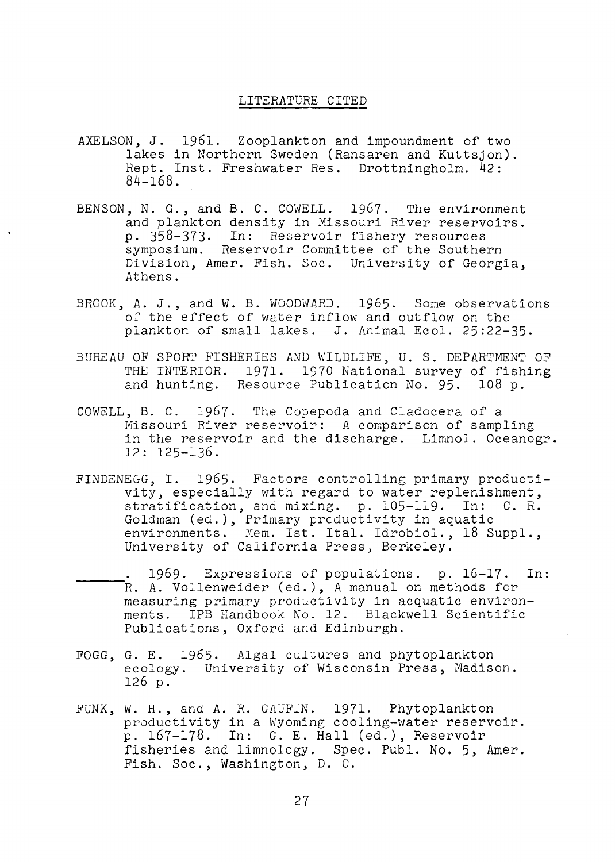#### LITERATURE CITED

- AXELSON, *J.* 1961. Zooplankton and impoundment of two lakes in Northern Sweden (Ransaren and Kuttsjon). Rept. Inst. Freshwater Res. Drottningholm. 42:  $84 - 168$ .
- BENSON, N. G., and B. C. COWELL. 1967. The environment and plankton density in Missouri River reservoirs. p. 358-373. In: Recervoir fishery resources symposium. Reservoir Committee of the Southern Division, Amer. Fish. Soc. University of Georgia, Athens.
- BROOK, A. J., and W. B. WOODWARD. 1965. Some observations of the effect of water inflow and outflow on the plankton of small lakes. J. Animal Ecol. 25:22-35.
- BUREAU OF SPORT FISHERIES AND WILDLIFE, U. S. DEPARTMENT OF THE INTERIOR. 1971. 1970 National survey of fishing and hunting. Resource Publication No. 95. 108 p.
- COWELL, B. C. 1967. The Copepoda and Cladocera of a Missouri River reservoir: A comparison of sampling in the reservoir and the discharge. Limnol. Oceanogr. 12: 125-136.
- FINDENEGG, I. 1965. Factors controlling primary productivity, especially with regard to water replenishment, stratification, and mixing. p. 105-119. In: C. R. Goldman (ed.), Primary productivity in aquatic environments. Mem. Ist. Ital. Idrobiol., 18 Suppl., University of California Press, Berkeley .
- . 1969. Expressions of populations. p. 16-17. In:<br>R. A. Vollenweider (ed.), A manual on methods for measuring primary productivity in acquatic environments. IPB Handbook No. 12. Blackwell Scientific Publications, Oxford and Edinburgh.
- FOGG, G. E. 1965. Algal cultures and phytoplankton ecology. University of Wisconsin Press, Madison. 126 p.
- FUNK, W. H., and A. R. GAuFiN. 1971. Phytoplankton productivity in a Wyoming cooling-water reservoir. p. 167-178. In: G. E. Hall (ed.), Reservoir fisheries and limnology. Spec. Publ. No. 5, Amer. Fish. Soc., Washington, D. C.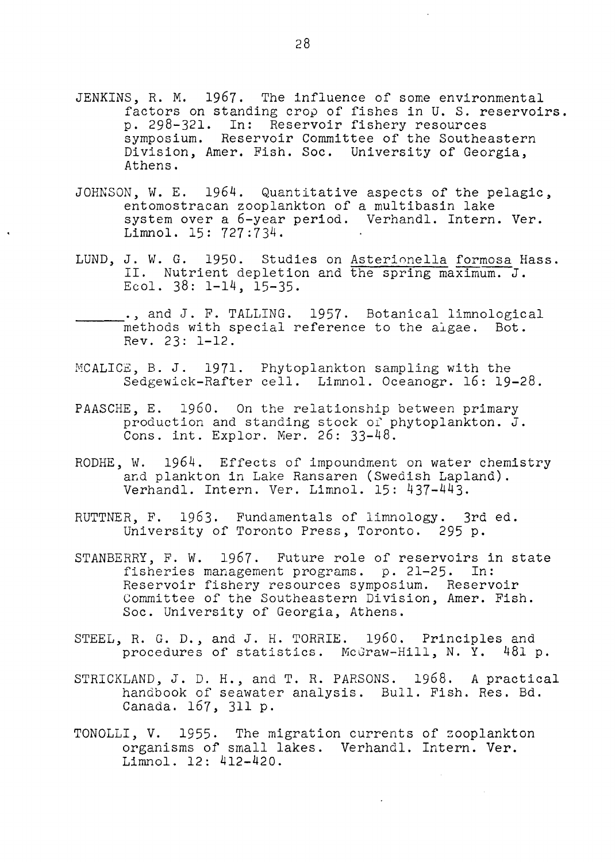- JENKINS, R. M. 1967. The influence of some environmental factors on standing crop of fishes in U. S. reservoirs. p. 298-321. In: Reservoir fishery resources symposium. Reservoir Committee of the Southeastern Division, Amer. Fish. Soc. University of Georgia, Athens.
- JOHNSON, W. E. 1964. Quantitative aspects of the pelagic, entomostracan zooplankton of a multibasin lake system over a 6-year period. Verhandl. Intern. Ver. Limnol. 15: 727:734.
- LUND, J. W. G. 1950. Studies on Asterionella formosa Hass. II. Nutrient depletion and the spring maximum. J. Ecol.  $38: 1-14$ ,  $15-35$ .
- ., and J. F. TALLING. 1957. Botanical limnological methods with special reference to the aigae. Bot. Rev. 23: 1-12.
- MCALICE, B. J. 1971. Phytoplankton sampling with the Sedgewick-Rafter cell. Limnol. Oceanogr. 16: 19-28.
- PAASCHE, E. 1960. On the relationship between primary production and standing stock of phytoplankton. J. Cons. int. Explor. Mer. 26: 33-48.
- RODHE, W.  $1964$ . Effects of impoundment on water chemistry and plankton in Lake Ransaren (Swedish Lapland). Verhandl. Intern. Ver. Limnol. 15: 437-443.
- RUTTNER, F. 1963. Fundamentals of limnology. 3rd ed. University of Toronto Press, Toronto. 295 p.
- STANBERRY, F. W. 1967. Future role of reservoirs in state fisheries management programs. p. 21-25. In: Reservoir fishery resources symposium. Reservoir Committee of the Southeastern Division, Amer. Fish. Soc. University of Georgia, Athens.
- STEEL, R. G. D., and J. H. TORRIE. 1960. Principles and procedures of statistics. McGraw-Hill, N. Y. 481 p.
- STRICKLAND, J. D. H., and T. R. PARSONS. 1968. A practical handbook of seawater analysis. Bull. Fish. Res. Bd. Canada. 167, 311 p.
- TONOLLI, V. 1955. The migration currents of zooplankton organisms of small lakes. Verhandl. Intern. Ver. Limnol. 12: 412-420.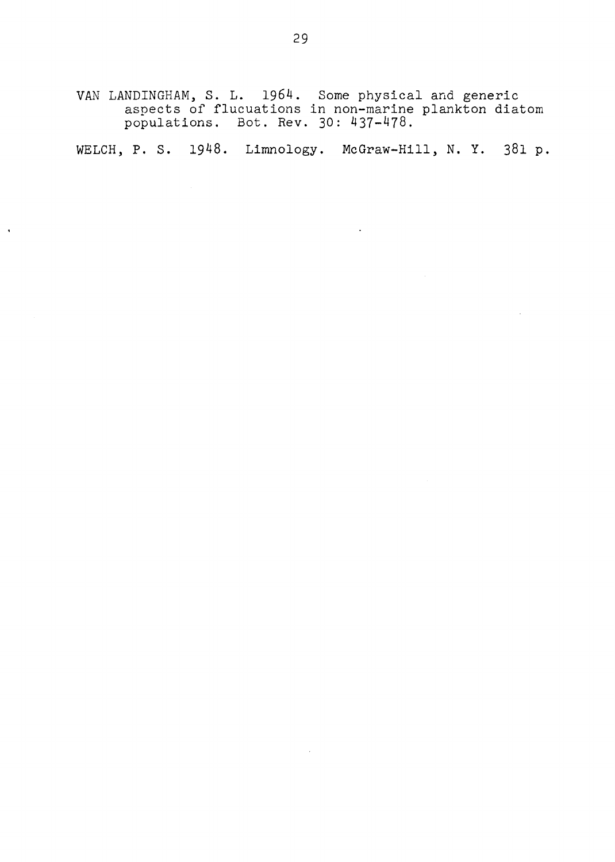VAN LANDINGHAM, S. L. 1964. Some physical and generic aspects of flucuations in non-marine plankton diatom populations. Bot. Rev. 30: 437-478.

WELCH, P. S. 1948. Limnology. McGraw-Hill, N. Y. 381 p.

 $\mathcal{L}$ 

 $\mathcal{L}$ 

 $\hat{\mathbf{r}}$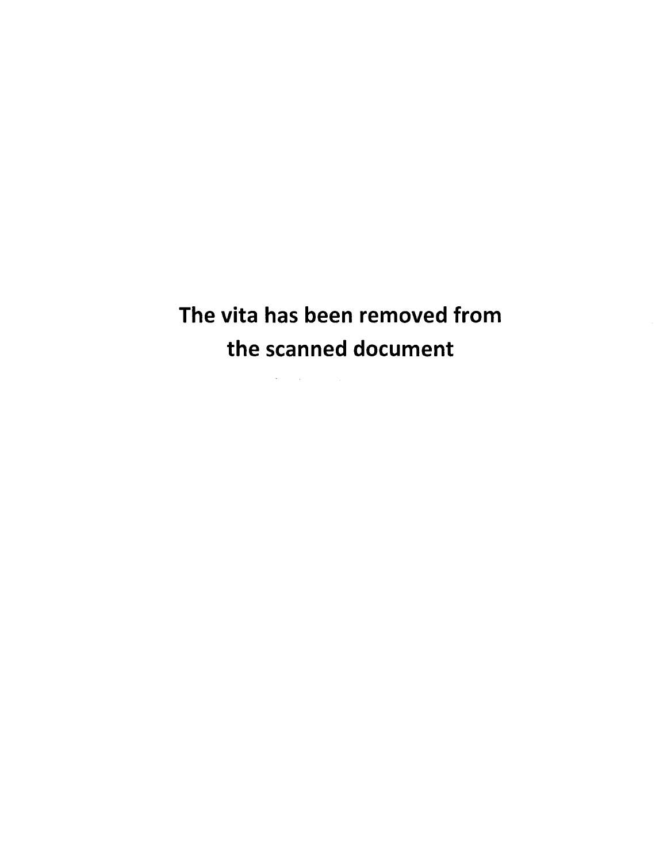# The vita has been removed from the scanned document

 $\mathcal{L}(\mathcal{A})$  and  $\mathcal{L}(\mathcal{A})$